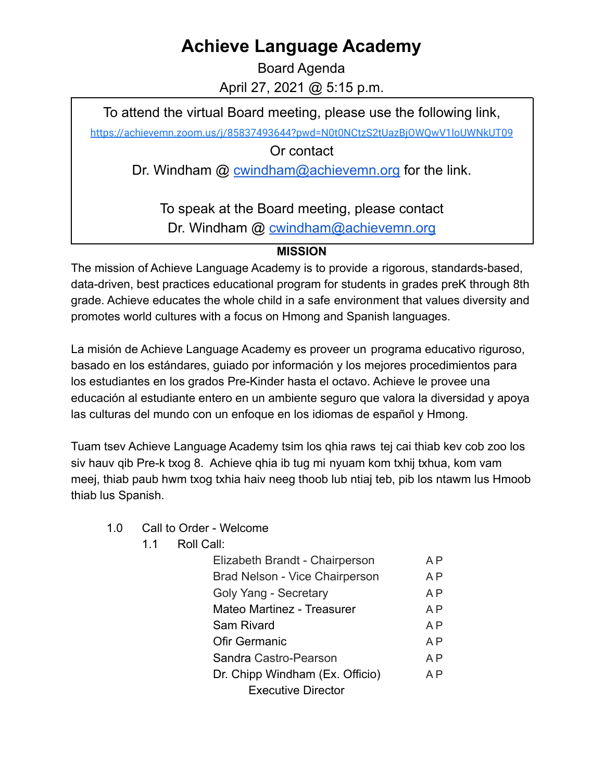## **Achieve Language Academy**

Board Agenda April 27, 2021 @ 5:15 p.m.

To attend the virtual Board meeting, please use the following link,

<https://achievemn.zoom.us/j/85837493644?pwd=N0t0NCtzS2tUazBjOWQwV1loUWNkUT09>

Or contact

Dr. Windham @ [cwindham@achievemn.org](mailto:cwindham@achievemn.org) for the link.

To speak at the Board meeting, please contact Dr. Windham @ [cwindham@achievemn.org](mailto:cwindham@achievemn.org)

## **MISSION**

The mission of Achieve Language Academy is to provide a rigorous, standards-based, data-driven, best practices educational program for students in grades preK through 8th grade. Achieve educates the whole child in a safe environment that values diversity and promotes world cultures with a focus on Hmong and Spanish languages.

La misión de Achieve Language Academy es proveer un programa educativo riguroso, basado en los estándares, guiado por información y los mejores procedimientos para los estudiantes en los grados Pre-Kinder hasta el octavo. Achieve le provee una educación al estudiante entero en un ambiente seguro que valora la diversidad y apoya las culturas del mundo con un enfoque en los idiomas de español y Hmong.

Tuam tsev Achieve Language Academy tsim los qhia raws tej cai thiab kev cob zoo los siv hauv qib Pre-k txog 8. Achieve qhia ib tug mi nyuam kom txhij txhua, kom vam meej, thiab paub hwm txog txhia haiv neeg thoob lub ntiaj teb, pib los ntawm lus Hmoob thiab lus Spanish.

- 1.0 Call to Order Welcome
	- 1.1 Roll Call:

| Elizabeth Brandt - Chairperson  | A P            |
|---------------------------------|----------------|
| Brad Nelson - Vice Chairperson  | A P            |
| Goly Yang - Secretary           | A <sub>P</sub> |
| Mateo Martinez - Treasurer      | A <sub>P</sub> |
| <b>Sam Rivard</b>               | A P            |
| <b>Ofir Germanic</b>            | A <sub>P</sub> |
| Sandra Castro-Pearson           | A P            |
| Dr. Chipp Windham (Ex. Officio) |                |
| <b>Executive Director</b>       |                |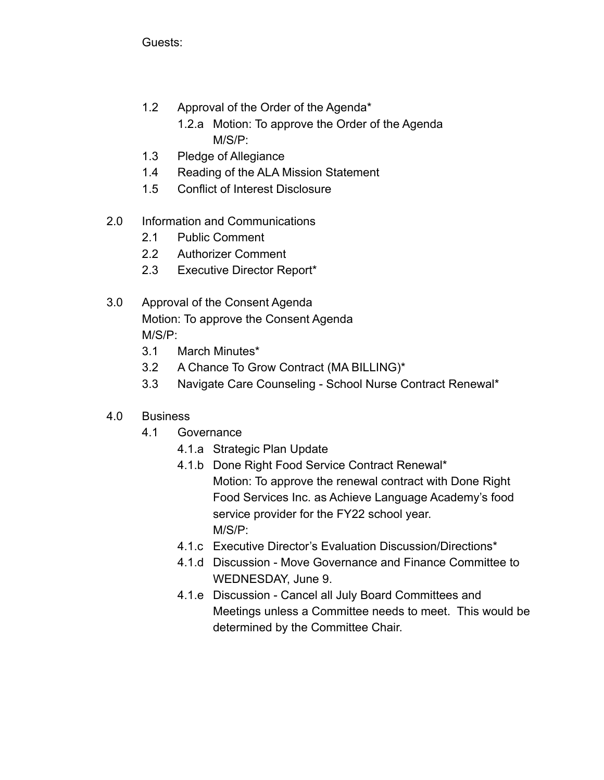Guests:

- 1.2 Approval of the Order of the Agenda\*
	- 1.2.a Motion: To approve the Order of the Agenda M/S/P:
- 1.3 Pledge of Allegiance
- 1.4 Reading of the ALA Mission Statement
- 1.5 Conflict of Interest Disclosure
- 2.0 Information and Communications
	- 2.1 Public Comment
	- 2.2 Authorizer Comment
	- 2.3 Executive Director Report\*
- 3.0 Approval of the Consent Agenda Motion: To approve the Consent Agenda M/S/P:
	- 3.1 March Minutes\*
	- 3.2 A Chance To Grow Contract (MA BILLING)\*
	- 3.3 Navigate Care Counseling School Nurse Contract Renewal\*
- 4.0 Business
	- 4.1 Governance
		- 4.1.a Strategic Plan Update
		- 4.1.b Done Right Food Service Contract Renewal\* Motion: To approve the renewal contract with Done Right Food Services Inc. as Achieve Language Academy's food service provider for the FY22 school year. M/S/P:
		- 4.1.c Executive Director's Evaluation Discussion/Directions\*
		- 4.1.d Discussion Move Governance and Finance Committee to WEDNESDAY, June 9.
		- 4.1.e Discussion Cancel all July Board Committees and Meetings unless a Committee needs to meet. This would be determined by the Committee Chair.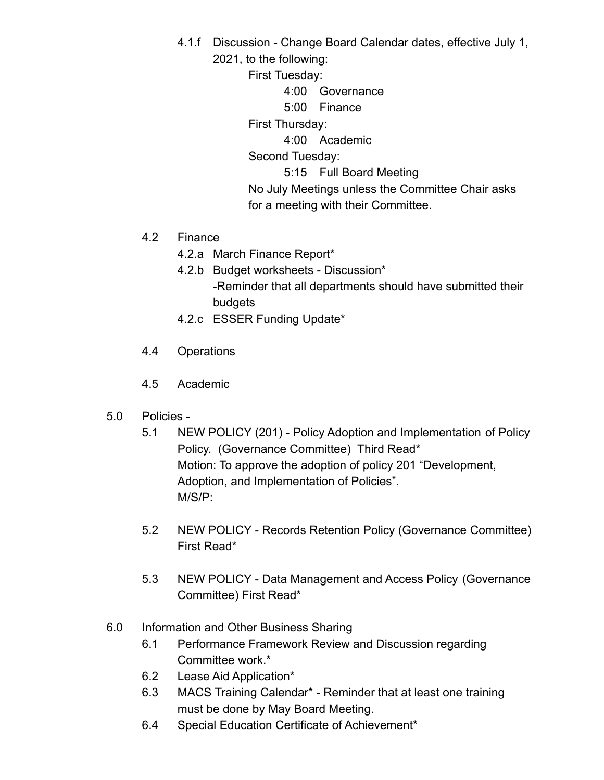4.1.f Discussion - Change Board Calendar dates, effective July 1, 2021, to the following:

First Tuesday:

4:00 Governance

5:00 Finance

First Thursday:

4:00 Academic

Second Tuesday:

5:15 Full Board Meeting

No July Meetings unless the Committee Chair asks for a meeting with their Committee.

- 4.2 Finance
	- 4.2.a March Finance Report\*
	- 4.2.b Budget worksheets Discussion\* -Reminder that all departments should have submitted their budgets
	- 4.2.c ESSER Funding Update\*
- 4.4 Operations
- 4.5 Academic
- 5.0 Policies
	- 5.1 NEW POLICY (201) Policy Adoption and Implementation of Policy Policy. (Governance Committee) Third Read\* Motion: To approve the adoption of policy 201 "Development, Adoption, and Implementation of Policies". M/S/P:
	- 5.2 NEW POLICY Records Retention Policy (Governance Committee) First Read\*
	- 5.3 NEW POLICY Data Management and Access Policy (Governance Committee) First Read\*
- 6.0 Information and Other Business Sharing
	- 6.1 Performance Framework Review and Discussion regarding Committee work.\*
	- 6.2 Lease Aid Application\*
	- 6.3 MACS Training Calendar\* Reminder that at least one training must be done by May Board Meeting.
	- 6.4 Special Education Certificate of Achievement\*